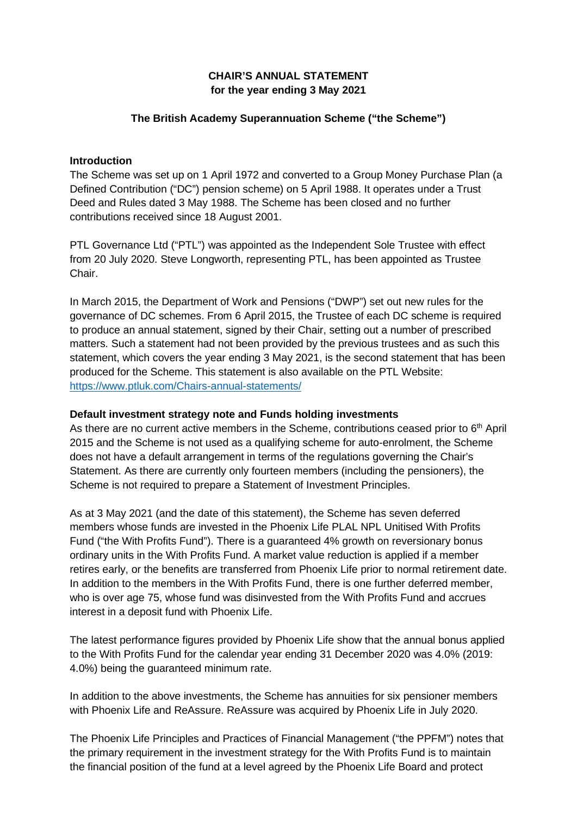## **CHAIR'S ANNUAL STATEMENT for the year ending 3 May 2021**

## **The British Academy Superannuation Scheme ("the Scheme")**

### **Introduction**

The Scheme was set up on 1 April 1972 and converted to a Group Money Purchase Plan (a Defined Contribution ("DC") pension scheme) on 5 April 1988. It operates under a Trust Deed and Rules dated 3 May 1988. The Scheme has been closed and no further contributions received since 18 August 2001.

PTL Governance Ltd ("PTL") was appointed as the Independent Sole Trustee with effect from 20 July 2020. Steve Longworth, representing PTL, has been appointed as Trustee Chair.

In March 2015, the Department of Work and Pensions ("DWP") set out new rules for the governance of DC schemes. From 6 April 2015, the Trustee of each DC scheme is required to produce an annual statement, signed by their Chair, setting out a number of prescribed matters. Such a statement had not been provided by the previous trustees and as such this statement, which covers the year ending 3 May 2021, is the second statement that has been produced for the Scheme. This statement is also available on the PTL Website: <https://www.ptluk.com/Chairs-annual-statements/>

### **Default investment strategy note and Funds holding investments**

As there are no current active members in the Scheme, contributions ceased prior to  $6<sup>th</sup>$  April 2015 and the Scheme is not used as a qualifying scheme for auto-enrolment, the Scheme does not have a default arrangement in terms of the regulations governing the Chair's Statement. As there are currently only fourteen members (including the pensioners), the Scheme is not required to prepare a Statement of Investment Principles.

As at 3 May 2021 (and the date of this statement), the Scheme has seven deferred members whose funds are invested in the Phoenix Life PLAL NPL Unitised With Profits Fund ("the With Profits Fund"). There is a guaranteed 4% growth on reversionary bonus ordinary units in the With Profits Fund. A market value reduction is applied if a member retires early, or the benefits are transferred from Phoenix Life prior to normal retirement date. In addition to the members in the With Profits Fund, there is one further deferred member, who is over age 75, whose fund was disinvested from the With Profits Fund and accrues interest in a deposit fund with Phoenix Life.

The latest performance figures provided by Phoenix Life show that the annual bonus applied to the With Profits Fund for the calendar year ending 31 December 2020 was 4.0% (2019: 4.0%) being the guaranteed minimum rate.

In addition to the above investments, the Scheme has annuities for six pensioner members with Phoenix Life and ReAssure. ReAssure was acquired by Phoenix Life in July 2020.

The Phoenix Life Principles and Practices of Financial Management ("the PPFM") notes that the primary requirement in the investment strategy for the With Profits Fund is to maintain the financial position of the fund at a level agreed by the Phoenix Life Board and protect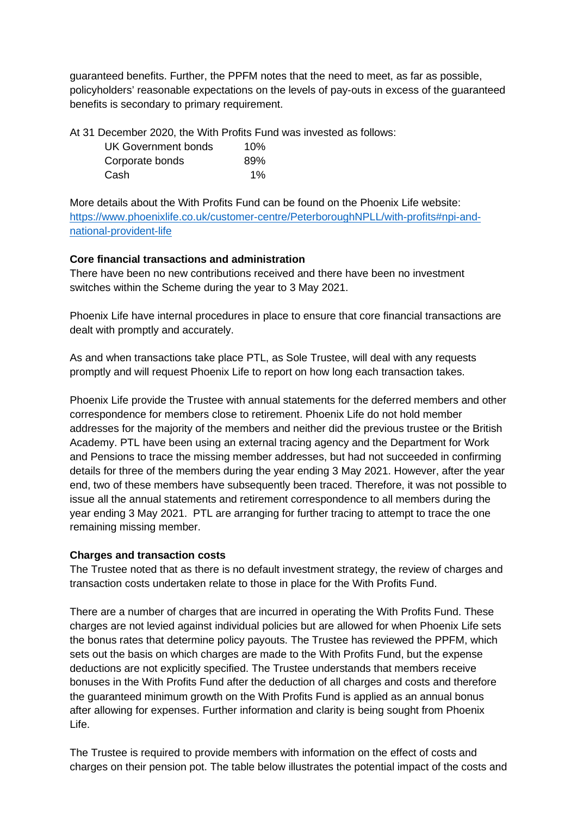guaranteed benefits. Further, the PPFM notes that the need to meet, as far as possible, policyholders' reasonable expectations on the levels of pay-outs in excess of the guaranteed benefits is secondary to primary requirement.

At 31 December 2020, the With Profits Fund was invested as follows:

| UK Government bonds | 10% |
|---------------------|-----|
| Corporate bonds     | 89% |
| Cash                | 1%  |

More details about the With Profits Fund can be found on the Phoenix Life website: [https://www.phoenixlife.co.uk/customer-centre/PeterboroughNPLL/with-profits#npi-and](https://www.phoenixlife.co.uk/customer-centre/PeterboroughNPLL/with-profits#npi-and-national-provident-life)[national-provident-life](https://www.phoenixlife.co.uk/customer-centre/PeterboroughNPLL/with-profits#npi-and-national-provident-life) 

## **Core financial transactions and administration**

There have been no new contributions received and there have been no investment switches within the Scheme during the year to 3 May 2021.

Phoenix Life have internal procedures in place to ensure that core financial transactions are dealt with promptly and accurately.

As and when transactions take place PTL, as Sole Trustee, will deal with any requests promptly and will request Phoenix Life to report on how long each transaction takes.

Phoenix Life provide the Trustee with annual statements for the deferred members and other correspondence for members close to retirement. Phoenix Life do not hold member addresses for the majority of the members and neither did the previous trustee or the British Academy. PTL have been using an external tracing agency and the Department for Work and Pensions to trace the missing member addresses, but had not succeeded in confirming details for three of the members during the year ending 3 May 2021. However, after the year end, two of these members have subsequently been traced. Therefore, it was not possible to issue all the annual statements and retirement correspondence to all members during the year ending 3 May 2021. PTL are arranging for further tracing to attempt to trace the one remaining missing member.

# **Charges and transaction costs**

The Trustee noted that as there is no default investment strategy, the review of charges and transaction costs undertaken relate to those in place for the With Profits Fund.

There are a number of charges that are incurred in operating the With Profits Fund. These charges are not levied against individual policies but are allowed for when Phoenix Life sets the bonus rates that determine policy payouts. The Trustee has reviewed the PPFM, which sets out the basis on which charges are made to the With Profits Fund, but the expense deductions are not explicitly specified. The Trustee understands that members receive bonuses in the With Profits Fund after the deduction of all charges and costs and therefore the guaranteed minimum growth on the With Profits Fund is applied as an annual bonus after allowing for expenses. Further information and clarity is being sought from Phoenix Life.

The Trustee is required to provide members with information on the effect of costs and charges on their pension pot. The table below illustrates the potential impact of the costs and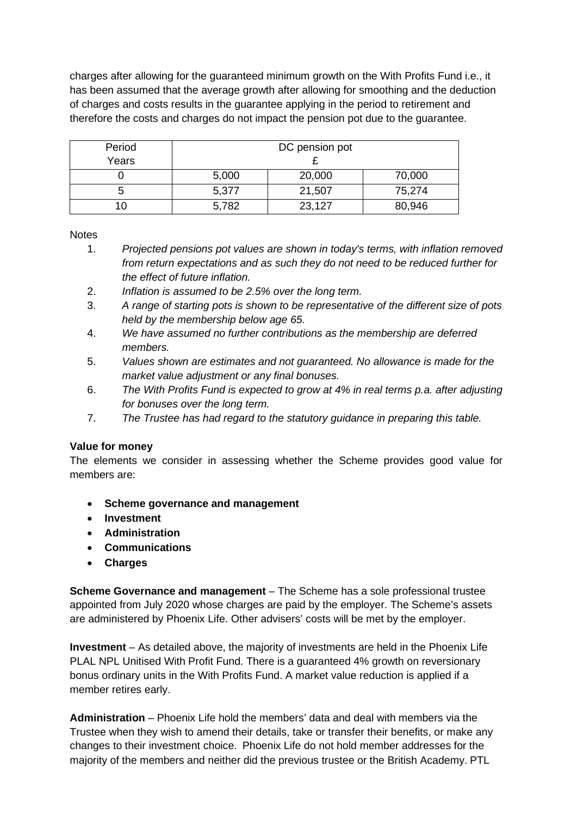charges after allowing for the guaranteed minimum growth on the With Profits Fund i.e., it has been assumed that the average growth after allowing for smoothing and the deduction of charges and costs results in the guarantee applying in the period to retirement and therefore the costs and charges do not impact the pension pot due to the guarantee.

| Period |       | DC pension pot |        |
|--------|-------|----------------|--------|
| Years  |       |                |        |
|        | 5,000 | 20,000         | 70,000 |
|        | 5,377 | 21,507         | 75,274 |
|        | 5,782 | 23,127         | 80,946 |

**Notes** 

- 1. *Projected pensions pot values are shown in today's terms, with inflation removed from return expectations and as such they do not need to be reduced further for the effect of future inflation.*
- 2. *Inflation is assumed to be 2.5% over the long term.*
- 3. *A range of starting pots is shown to be representative of the different size of pots held by the membership below age 65.*
- 4. *We have assumed no further contributions as the membership are deferred members.*
- 5. *Values shown are estimates and not guaranteed. No allowance is made for the market value adjustment or any final bonuses.*
- 6. *The With Profits Fund is expected to grow at 4% in real terms p.a. after adjusting for bonuses over the long term.*
- 7. *The Trustee has had regard to the statutory guidance in preparing this table.*

### **Value for money**

The elements we consider in assessing whether the Scheme provides good value for members are:

- **Scheme governance and management**
- **Investment**
- **Administration**
- **Communications**
- **Charges**

**Scheme Governance and management** – The Scheme has a sole professional trustee appointed from July 2020 whose charges are paid by the employer. The Scheme's assets are administered by Phoenix Life. Other advisers' costs will be met by the employer.

**Investment** – As detailed above, the majority of investments are held in the Phoenix Life PLAL NPL Unitised With Profit Fund. There is a guaranteed 4% growth on reversionary bonus ordinary units in the With Profits Fund. A market value reduction is applied if a member retires early.

**Administration** – Phoenix Life hold the members' data and deal with members via the Trustee when they wish to amend their details, take or transfer their benefits, or make any changes to their investment choice. Phoenix Life do not hold member addresses for the majority of the members and neither did the previous trustee or the British Academy. PTL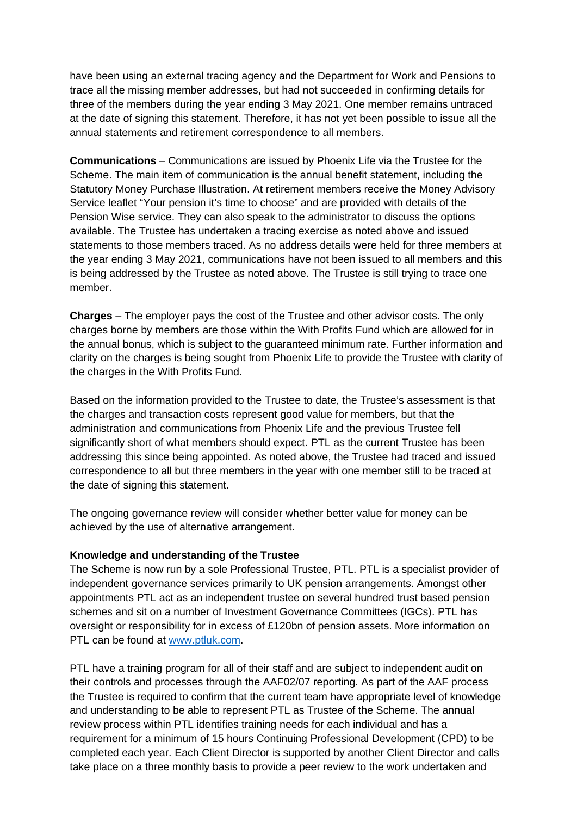have been using an external tracing agency and the Department for Work and Pensions to trace all the missing member addresses, but had not succeeded in confirming details for three of the members during the year ending 3 May 2021. One member remains untraced at the date of signing this statement. Therefore, it has not yet been possible to issue all the annual statements and retirement correspondence to all members.

**Communications** – Communications are issued by Phoenix Life via the Trustee for the Scheme. The main item of communication is the annual benefit statement, including the Statutory Money Purchase Illustration. At retirement members receive the Money Advisory Service leaflet "Your pension it's time to choose" and are provided with details of the Pension Wise service. They can also speak to the administrator to discuss the options available. The Trustee has undertaken a tracing exercise as noted above and issued statements to those members traced. As no address details were held for three members at the year ending 3 May 2021, communications have not been issued to all members and this is being addressed by the Trustee as noted above. The Trustee is still trying to trace one member.

**Charges** – The employer pays the cost of the Trustee and other advisor costs. The only charges borne by members are those within the With Profits Fund which are allowed for in the annual bonus, which is subject to the guaranteed minimum rate. Further information and clarity on the charges is being sought from Phoenix Life to provide the Trustee with clarity of the charges in the With Profits Fund.

Based on the information provided to the Trustee to date, the Trustee's assessment is that the charges and transaction costs represent good value for members, but that the administration and communications from Phoenix Life and the previous Trustee fell significantly short of what members should expect. PTL as the current Trustee has been addressing this since being appointed. As noted above, the Trustee had traced and issued correspondence to all but three members in the year with one member still to be traced at the date of signing this statement.

The ongoing governance review will consider whether better value for money can be achieved by the use of alternative arrangement.

### **Knowledge and understanding of the Trustee**

The Scheme is now run by a sole Professional Trustee, PTL. PTL is a specialist provider of independent governance services primarily to UK pension arrangements. Amongst other appointments PTL act as an independent trustee on several hundred trust based pension schemes and sit on a number of Investment Governance Committees (IGCs). PTL has oversight or responsibility for in excess of £120bn of pension assets. More information on PTL can be found at [www.ptluk.com.](http://www.ptluk.com/)

PTL have a training program for all of their staff and are subject to independent audit on their controls and processes through the AAF02/07 reporting. As part of the AAF process the Trustee is required to confirm that the current team have appropriate level of knowledge and understanding to be able to represent PTL as Trustee of the Scheme. The annual review process within PTL identifies training needs for each individual and has a requirement for a minimum of 15 hours Continuing Professional Development (CPD) to be completed each year. Each Client Director is supported by another Client Director and calls take place on a three monthly basis to provide a peer review to the work undertaken and